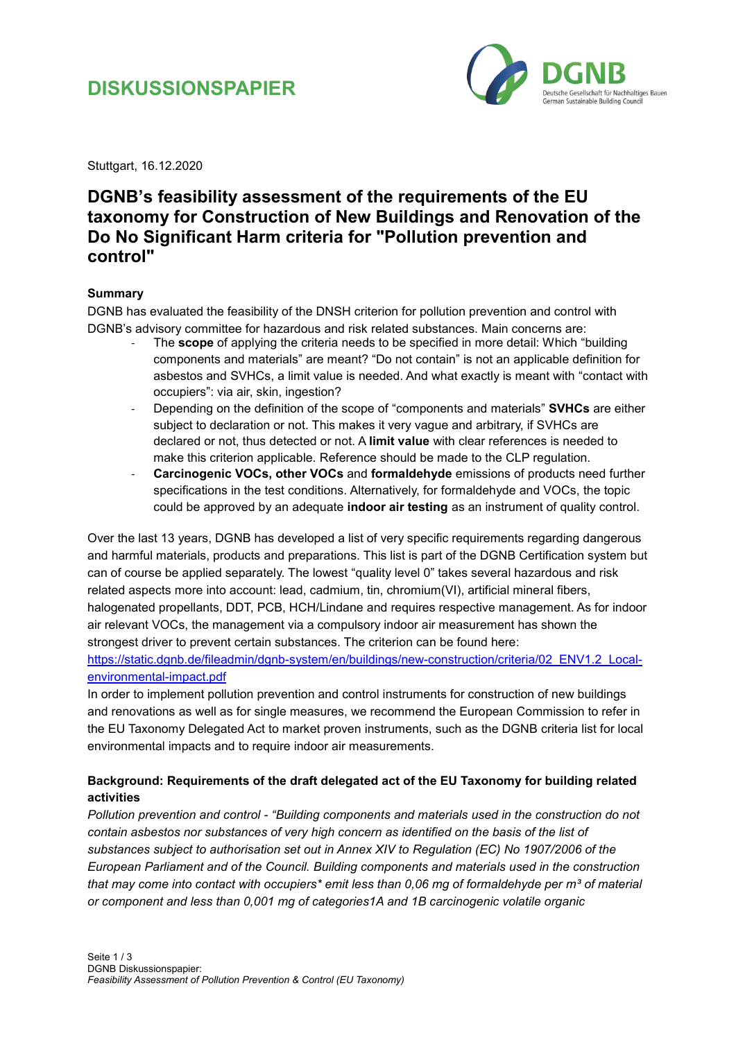# **DISKUSSIONSPAPIER**



Stuttgart, 16.12.2020

### **DGNB's feasibility assessment of the requirements of the EU taxonomy for Construction of New Buildings and Renovation of the Do No Significant Harm criteria for "Pollution prevention and control"**

#### **Summary**

DGNB has evaluated the feasibility of the DNSH criterion for pollution prevention and control with DGNB's advisory committee for hazardous and risk related substances. Main concerns are:

- The **scope** of applying the criteria needs to be specified in more detail: Which "building components and materials" are meant? "Do not contain" is not an applicable definition for asbestos and SVHCs, a limit value is needed. And what exactly is meant with "contact with occupiers": via air, skin, ingestion?
- Depending on the definition of the scope of "components and materials" **SVHCs** are either subject to declaration or not. This makes it very vague and arbitrary, if SVHCs are declared or not, thus detected or not. A **limit value** with clear references is needed to make this criterion applicable. Reference should be made to the CLP regulation.
- **Carcinogenic VOCs, other VOCs** and **formaldehyde** emissions of products need further specifications in the test conditions. Alternatively, for formaldehyde and VOCs, the topic could be approved by an adequate **indoor air testing** as an instrument of quality control.

Over the last 13 years, DGNB has developed a list of very specific requirements regarding dangerous and harmful materials, products and preparations. This list is part of the DGNB Certification system but can of course be applied separately. The lowest "quality level 0" takes several hazardous and risk related aspects more into account: lead, cadmium, tin, chromium(VI), artificial mineral fibers, halogenated propellants, DDT, PCB, HCH/Lindane and requires respective management. As for indoor air relevant VOCs, the management via a compulsory indoor air measurement has shown the strongest driver to prevent certain substances. The criterion can be found here:

[https://static.dgnb.de/fileadmin/dgnb-system/en/buildings/new-construction/criteria/02\\_ENV1.2\\_Local](https://static.dgnb.de/fileadmin/dgnb-system/en/buildings/new-construction/criteria/02_ENV1.2_Local-environmental-impact.pdf)[environmental-impact.pdf](https://static.dgnb.de/fileadmin/dgnb-system/en/buildings/new-construction/criteria/02_ENV1.2_Local-environmental-impact.pdf)

In order to implement pollution prevention and control instruments for construction of new buildings and renovations as well as for single measures, we recommend the European Commission to refer in the EU Taxonomy Delegated Act to market proven instruments, such as the DGNB criteria list for local environmental impacts and to require indoor air measurements.

### **Background: Requirements of the draft delegated act of the EU Taxonomy for building related activities**

*Pollution prevention and control - "Building components and materials used in the construction do not contain asbestos nor substances of very high concern as identified on the basis of the list of substances subject to authorisation set out in Annex XIV to Regulation (EC) No 1907/2006 of the European Parliament and of the Council. Building components and materials used in the construction*  that may come into contact with occupiers<sup>\*</sup> emit less than 0,06 mg of formaldehyde per m<sup>3</sup> of material *or component and less than 0,001 mg of categories1A and 1B carcinogenic volatile organic*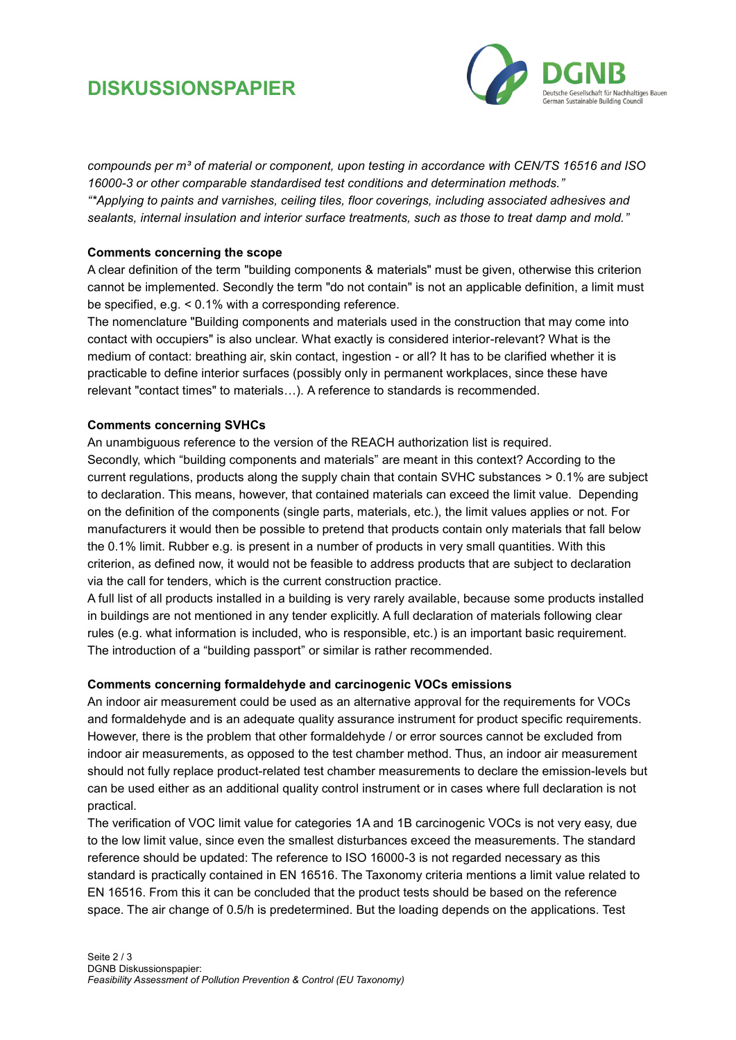# **DISKUSSIONSPAPIER**



*compounds per m³ of material or component, upon testing in accordance with CEN/TS 16516 and ISO 16000-3 or other comparable standardised test conditions and determination methods." "\*Applying to paints and varnishes, ceiling tiles, floor coverings, including associated adhesives and sealants, internal insulation and interior surface treatments, such as those to treat damp and mold."*

#### **Comments concerning the scope**

A clear definition of the term "building components & materials" must be given, otherwise this criterion cannot be implemented. Secondly the term "do not contain" is not an applicable definition, a limit must be specified, e.g. < 0.1% with a corresponding reference.

The nomenclature "Building components and materials used in the construction that may come into contact with occupiers" is also unclear. What exactly is considered interior-relevant? What is the medium of contact: breathing air, skin contact, ingestion - or all? It has to be clarified whether it is practicable to define interior surfaces (possibly only in permanent workplaces, since these have relevant "contact times" to materials…). A reference to standards is recommended.

#### **Comments concerning SVHCs**

An unambiguous reference to the version of the REACH authorization list is required. Secondly, which "building components and materials" are meant in this context? According to the current regulations, products along the supply chain that contain SVHC substances > 0.1% are subject to declaration. This means, however, that contained materials can exceed the limit value. Depending on the definition of the components (single parts, materials, etc.), the limit values applies or not. For manufacturers it would then be possible to pretend that products contain only materials that fall below the 0.1% limit. Rubber e.g. is present in a number of products in very small quantities. With this criterion, as defined now, it would not be feasible to address products that are subject to declaration via the call for tenders, which is the current construction practice.

A full list of all products installed in a building is very rarely available, because some products installed in buildings are not mentioned in any tender explicitly. A full declaration of materials following clear rules (e.g. what information is included, who is responsible, etc.) is an important basic requirement. The introduction of a "building passport" or similar is rather recommended.

#### **Comments concerning formaldehyde and carcinogenic VOCs emissions**

An indoor air measurement could be used as an alternative approval for the requirements for VOCs and formaldehyde and is an adequate quality assurance instrument for product specific requirements. However, there is the problem that other formaldehyde / or error sources cannot be excluded from indoor air measurements, as opposed to the test chamber method. Thus, an indoor air measurement should not fully replace product-related test chamber measurements to declare the emission-levels but can be used either as an additional quality control instrument or in cases where full declaration is not practical.

The verification of VOC limit value for categories 1A and 1B carcinogenic VOCs is not very easy, due to the low limit value, since even the smallest disturbances exceed the measurements. The standard reference should be updated: The reference to ISO 16000-3 is not regarded necessary as this standard is practically contained in EN 16516. The Taxonomy criteria mentions a limit value related to EN 16516. From this it can be concluded that the product tests should be based on the reference space. The air change of 0.5/h is predetermined. But the loading depends on the applications. Test